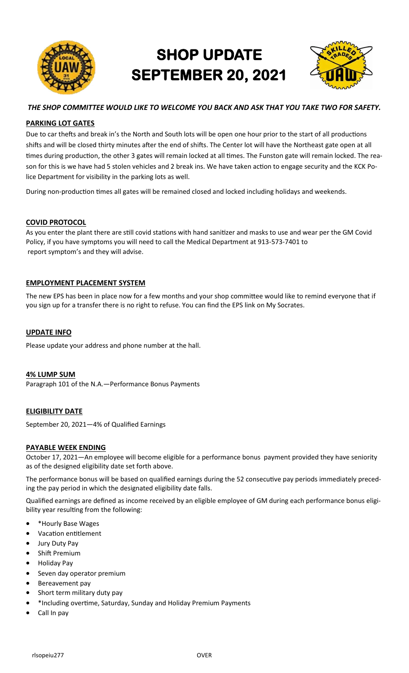

# **SHOP UPDATE SEPTEMBER 20, 2021**



# *THE SHOP COMMITTEE WOULD LIKE TO WELCOME YOU BACK AND ASK THAT YOU TAKE TWO FOR SAFETY.*

# **PARKING LOT GATES**

Due to car thefts and break in's the North and South lots will be open one hour prior to the start of all productions shifts and will be closed thirty minutes after the end of shifts. The Center lot will have the Northeast gate open at all times during production, the other 3 gates will remain locked at all times. The Funston gate will remain locked. The reason for this is we have had 5 stolen vehicles and 2 break ins. We have taken action to engage security and the KCK Police Department for visibility in the parking lots as well.

During non-production times all gates will be remained closed and locked including holidays and weekends.

## **COVID PROTOCOL**

As you enter the plant there are still covid stations with hand sanitizer and masks to use and wear per the GM Covid Policy, if you have symptoms you will need to call the Medical Department at 913-573-7401 to report symptom's and they will advise.

## **EMPLOYMENT PLACEMENT SYSTEM**

The new EPS has been in place now for a few months and your shop committee would like to remind everyone that if you sign up for a transfer there is no right to refuse. You can find the EPS link on My Socrates.

#### **UPDATE INFO**

Please update your address and phone number at the hall.

#### **4% LUMP SUM**

Paragraph 101 of the N.A.—Performance Bonus Payments

# **ELIGIBILITY DATE**

September 20, 2021—4% of Qualified Earnings

#### **PAYABLE WEEK ENDING**

October 17, 2021—An employee will become eligible for a performance bonus payment provided they have seniority as of the designed eligibility date set forth above.

The performance bonus will be based on qualified earnings during the 52 consecutive pay periods immediately preceding the pay period in which the designated eligibility date falls.

Qualified earnings are defined as income received by an eligible employee of GM during each performance bonus eligibility year resulting from the following:

- \*Hourly Base Wages
- Vacation entitlement
- Jury Duty Pay
- Shift Premium
- Holiday Pay
- Seven day operator premium
- Bereavement pay
- Short term military duty pay
- \*Including overtime, Saturday, Sunday and Holiday Premium Payments
- Call In pay